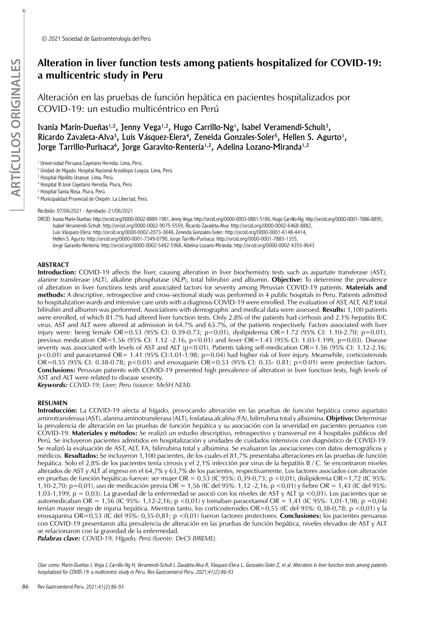# **Alteration in liver function tests among patients hospitalized for COVID-19: a multicentric study in Peru**

Alteración en las pruebas de función hepática en pacientes hospitalizados por COVID-19: un estudio multicéntrico en Perú

Ivania Marín-Dueñas<sup>1,2</sup>, Jenny Vega<sup>1,2</sup>, Hugo Carrillo-Ng<sup>1</sup>, Isabel Veramendi-Schult<sup>3</sup>, Ricardo Zavaleta-Alva<sup>3</sup>, Luis Vásquez-Elera<sup>4</sup>, Zeneida Gonzales-Soler<sup>5</sup>, Hellen S. Agurto<sup>1</sup>, Jorge Tarrillo-Purisaca<sup>6</sup>, Jorge Garavito-Rentería<sup>1,2</sup>, Adelina Lozano-Miranda<sup>1,2</sup>

1 Universidad Peruana Cayetano Heredia. Lima, Perú.

2 Unidad de Hígado. Hospital Nacional Arzobispo Loayza. Lima, Perú.

3 Hospital Hipólito Unanue. Lima, Perú.

4 Hospital III José Cayetano Heredia. Piura, Perú

5 Hospital Santa Rosa. Piura, Perú.

6 Municipalidad Provincial de Chepén. La Libertad, Perú.

Recibido: 07/06/2021 - Aprobado: 21/06/2021

ORCID: Ivania Marín-Dueñas: http://orcid.org/[0000-0002-8889-1981](https://orcid.org/0000-0003-0881-3447), Jenny Vega: http://orcid.org/[0000-0003-0881-5186](https://orcid.org/0000-0003-0881-5186), Hugo Carrillo-Ng: http://orcid.org/[0000-0001-7886-8895](https://orcid.org/0000-0001-7886-8895), Isabel Veramendi-Schult: http://orcid.org/[0000-0002-9075-5559,](https://orcid.org/0000-0002-9075-5559) Ricardo Zavaleta-Alva: http://orcid.org[/0000-0002-6468-8882,](https://orcid.org/0000-0002-6468-8882) Luis Vásquez-Elera: http://orcid.org/[0000-0002-2073-3848,](https://orcid.org/0000-0002-2073-3848) Zeneida Gonzales-Soler: http://orcid.org/[0000-0001-6148-4414,](https://orcid.org/0000-0001-6148-4414) Hellen S. Agurto: http://orcid.org/[0000-0001-7349-0790,](https://orcid.org/0000-0001-7349-0790) Jorge Tarrillo-Purisaca: http://orcid.org/[0000-0001-7883-1355](https://orcid.org/0000-0001-7883-1355), Jorge Garavito-Rentería: http://orcid.org/[0000-0002-5482-596X,](https://orcid.org/0000-0002-5482-596X) Adelina Lozano-Miranda: http://orcid.org/[0000-0002-4355-9643](https://orcid.org/0000-0002-4355-9643)

#### **ABSTRACT**

**Introduction:** COVID-19 affects the liver, causing alteration in liver biochemistry tests such as aspartate transferase (AST), alanine transferase (ALT), alkaline phosphatase (ALP), total bilirubin and albumin. **Objective:** To determine the prevalence of alteration in liver functions tests and associated factors for severity among Peruvian COVID-19 patients. **Materials and methods:** A descriptive, retrospective and cross-sectional study was performed in 4 public hospitals in Peru. Patients admitted to hospitalization wards and intensive care units with a diagnosis COVID-19 were enrolled. The evaluation of AST, ALT, ALP, total bilirubin and albumin was performed. Associations with demographic and medical data were assessed. **Results:** 1,100 patients were enrolled, of which 81.7% had altered liver function tests. Only 2.8% of the patients had cirrhosis and 2.1% hepatitis B/C virus. AST and ALT were altered at admission in 64.7% and 63.7%, of the patients respectively. Factors associated with liver injury were: being female OR=0.53 (95% CI: 0.39-0.73; p<0.01), dyslipidemia OR=1.72 (95% CI: 1.10-2.70; p=0.01), previous medication OR=1.56 (95% CI: 1.12 -2.16, p<0.01) and fever OR=1.43 (95% CI: 1.03-1.199, p=0.03). Disease severity was associated with levels of AST and ALT ( $p < 0.01$ ). Patients taking self-medication OR=1.56 (95% CI: 1.12-2.16; p<0.01) and paracetamol OR= 1.41 (95% CI:1.01-1.98; p=0.04) had higher risk of liver injury. Meanwhile, corticosteroids OR=0.55 (95% CI: 0.38-0.78; p<0.01) and enoxaparin OR=0.53 (95% CI: 0.35- 0.81; p<0.01) were protective factors. **Conclusions:** Peruvian patients with COVID-19 presented high prevalence of alteration in liver function tests, high levels of AST and ALT were related to disease severity.

*Keywords: COVID-19; Liver; Peru (source: MeSH NLM).*

# **RESUMEN**

**Introducción:** La COVID-19 afecta al hígado, provocando alteración en las pruebas de función hepática como aspartato aminotransferasa (AST), alanina aminotransferasa (ALT), fosfatasa alcalina (FA), bilirrubina total y albúmina. **Objetivo:** Determinar la prevalencia de alteración en las pruebas de función hepática y su asociación con la severidad en pacientes peruanos con COVID-19. **Materiales y métodos:** Se realizó un estudio descriptivo, retrospectivo y transversal en 4 hospitales públicos del Perú. Se incluyeron pacientes admitidos en hospitalización y unidades de cuidados intensivos con diagnóstico de COVID-19. Se realizó la evaluación de AST, ALT, FA, bilirrubina total y albúmina. Se evaluaron las asociaciones con datos demográficos y médicos. **Resultados:** Se incluyeron 1,100 pacientes, de los cuales el 81,7% presentaba alteraciones en las pruebas de función hepática. Solo el 2,8% de los pacientes tenía cirrosis y el 2,1% infección por virus de la hepatitis B / C. Se encontraron niveles alterados de AST y ALT al ingreso en el 64,7% y 63,7% de los pacientes, respectivamente. Los factores asociados con alteración en pruebas de función hepáticas fueron: ser mujer OR = 0,53 (IC 95%: 0,39-0,73; p <0,01), dislipidemia OR=1,72 (IC 95%: 1,10-2,70; p=0,01), uso de medicación previa OR = 1,56 (IC del 95%: 1,12 -2,16, p <0,01) y fiebre OR = 1,43 (IC del 95%: 1,03-1,199, p = 0,03). La gravedad de la enfermedad se asoció con los niveles de AST y ALT (p <0,01). Los pacientes que se automedicaban OR = 1,56 (IC 95%: 1,12-2,16; p <0,01) y tomaban paracetamol OR = 1,41 (IC 95%: 1,01-1,98; p =0,04) tenían mayor riesgo de injuria hepática. Mientras tanto, los corticosteroides OR=0,55 (IC del 95%: 0,38-0,78; p <0,01) y la enoxaparina OR=0,53 (IC del 95%: 0,35-0,81; p <0,01) fueron factores protectores. **Conclusiones:** los pacientes peruanos con COVID-19 presentaron alta prevalencia de alteración en las pruebas de función hepática, niveles elevados de AST y ALT se relacionaron con la gravedad de la enfermedad.

*Palabras clave: COVID-19; Hígado; Perú (fuente: DeCS BIREME).*

Citar como: Marín-Dueñas I, Vega J, Carrillo-Ng H, Veramendi-Schult I, Zavaleta-Alva R, Vásquez-Elera L, Gonzales-Soler Z, et al. Alteration in liver function tests among patients hospitalized for COVID-19: a multicentric study in Peru. Rev Gastroenterol Peru. 2021;41(2):86-93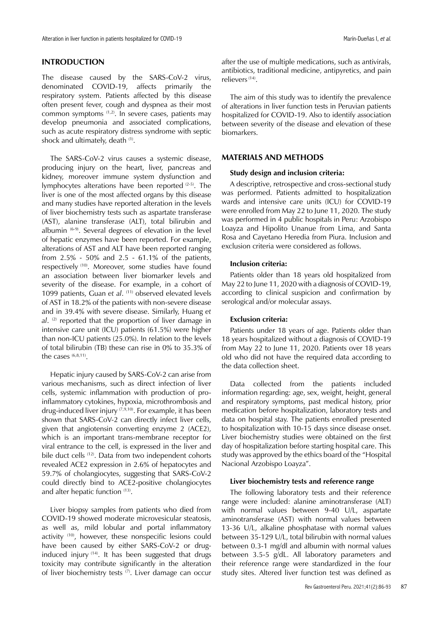# **INTRODUCTION**

The disease caused by the SARS-CoV-2 virus, denominated COVID-19, affects primarily the respiratory system. Patients affected by this disease often present fever, cough and dyspnea as their most common symptoms (1,2). In severe cases, patients may develop pneumonia and associated complications, such as acute respiratory distress syndrome with septic shock and ultimately, death <sup>(1)</sup>.

The SARS-CoV-2 virus causes a systemic disease, producing injury on the heart, liver, pancreas and kidney, moreover immune system dysfunction and lymphocytes alterations have been reported (2-5). The liver is one of the most affected organs by this disease and many studies have reported alteration in the levels of liver biochemistry tests such as aspartate transferase (AST), alanine transferase (ALT), total bilirubin and albumin (6-9). Several degrees of elevation in the level of hepatic enzymes have been reported. For example, alterations of AST and ALT have been reported ranging from 2.5% - 50% and 2.5 - 61.1% of the patients, respectively (10). Moreover, some studies have found an association between liver biomarker levels and severity of the disease. For example, in a cohort of 1099 patients, Guan et al. (11) observed elevated levels of AST in 18.2% of the patients with non-severe disease and in 39.4% with severe disease. Similarly, Huang *et al*. (2) reported that the proportion of liver damage in intensive care unit (ICU) patients (61.5%) were higher than non-ICU patients (25.0%). In relation to the levels of total bilirubin (TB) these can rise in 0% to 35.3% of the cases  $(6,8,11)$ .

Hepatic injury caused by SARS-CoV-2 can arise from various mechanisms, such as direct infection of liver cells, systemic inflammation with production of proinflammatory cytokines, hypoxia, microthrombosis and drug-induced liver injury  $(7,9,10)$ . For example, it has been shown that SARS-CoV-2 can directly infect liver cells, given that angiotensin converting enzyme 2 (ACE2), which is an important trans-membrane receptor for viral entrance to the cell, is expressed in the liver and bile duct cells <sup>(12)</sup>. Data from two independent cohorts revealed ACE2 expression in 2.6% of hepatocytes and 59.7% of cholangiocytes, suggesting that SARS-CoV-2 could directly bind to ACE2-positive cholangiocytes and alter hepatic function (13).

Liver biopsy samples from patients who died from COVID-19 showed moderate microvesicular steatosis, as well as, mild lobular and portal inflammatory activity (10), however, these nonspecific lesions could have been caused by either SARS-CoV-2 or druginduced injury (14). It has been suggested that drugs toxicity may contribute significantly in the alteration of liver biochemistry tests (7). Liver damage can occur after the use of multiple medications, such as antivirals, antibiotics, traditional medicine, antipyretics, and pain relievers (14).

The aim of this study was to identify the prevalence of alterations in liver function tests in Peruvian patients hospitalized for COVID-19. Also to identify association between severity of the disease and elevation of these biomarkers.

## **MATERIALS AND METHODS**

# **Study design and inclusion criteria:**

A descriptive, retrospective and cross-sectional study was performed. Patients admitted to hospitalization wards and intensive care units (ICU) for COVID-19 were enrolled from May 22 to June 11, 2020. The study was performed in 4 public hospitals in Peru: Arzobispo Loayza and Hipolito Unanue from Lima, and Santa Rosa and Cayetano Heredia from Piura. Inclusion and exclusion criteria were considered as follows.

## **Inclusion criteria:**

Patients older than 18 years old hospitalized from May 22 to June 11, 2020 with a diagnosis of COVID-19, according to clinical suspicion and confirmation by serological and/or molecular assays.

# **Exclusion criteria:**

Patients under 18 years of age. Patients older than 18 years hospitalized without a diagnosis of COVID-19 from May 22 to June 11, 2020. Patients over 18 years old who did not have the required data according to the data collection sheet.

Data collected from the patients included information regarding: age, sex, weight, height, general and respiratory symptoms, past medical history, prior medication before hospitalization, laboratory tests and data on hospital stay. The patients enrolled presented to hospitalization with 10-15 days since disease onset. Liver biochemistry studies were obtained on the first day of hospitalization before starting hospital care. This study was approved by the ethics board of the "Hospital Nacional Arzobispo Loayza".

# **Liver biochemistry tests and reference range**

The following laboratory tests and their reference range were included: alanine aminotransferase (ALT) with normal values between 9-40 U/L, aspartate aminotransferase (AST) with normal values between 13-36 U/L, alkaline phosphatase with normal values between 35-129 U/L, total bilirubin with normal values between 0.3-1 mg/dl and albumin with normal values between 3.5-5 g/dL. All laboratory parameters and their reference range were standardized in the four study sites. Altered liver function test was defined as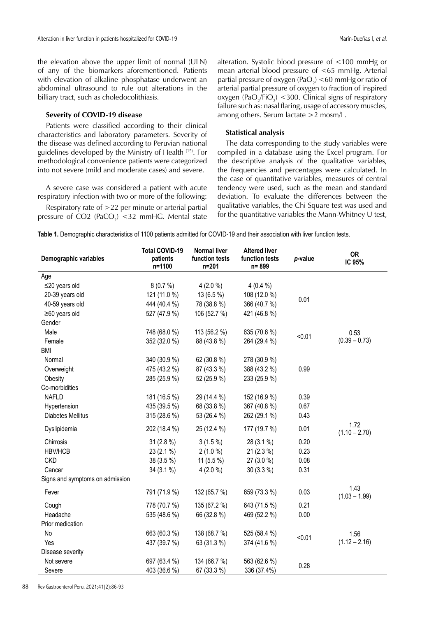the elevation above the upper limit of normal (ULN) of any of the biomarkers aforementioned. Patients with elevation of alkaline phosphatase underwent an abdominal ultrasound to rule out alterations in the billiary tract, such as choledocolithiasis.

## **Severity of COVID-19 disease**

Patients were classified according to their clinical characteristics and laboratory parameters. Severity of the disease was defined according to Peruvian national guidelines developed by the Ministry of Health (15). For methodological convenience patients were categorized into not severe (mild and moderate cases) and severe.

A severe case was considered a patient with acute respiratory infection with two or more of the following:

Respiratory rate of >22 per minute or arterial partial pressure of  $CO2$  (Pa $CO<sub>2</sub>$ ) <32 mmHG. Mental state alteration. Systolic blood pressure of <100 mmHg or mean arterial blood pressure of <65 mmHg. Arterial partial pressure of oxygen (PaO<sub>2</sub>) <60 mmHg or ratio of arterial partial pressure of oxygen to fraction of inspired oxygen (Pa $O_2$ /Fi $O_2$ ) <300. Clinical signs of respiratory failure such as: nasal flaring, usage of accessory muscles, among others. Serum lactate >2 mosm/L.

#### **Statistical analysis**

The data corresponding to the study variables were compiled in a database using the Excel program. For the descriptive analysis of the qualitative variables, the frequencies and percentages were calculated. In the case of quantitative variables, measures of central tendency were used, such as the mean and standard deviation. To evaluate the differences between the qualitative variables, the Chi Square test was used and for the quantitative variables the Mann-Whitney U test,

|  |  | Table 1. Demographic characteristics of 1100 patients admitted for COVID-19 and their association with liver function tests. |  |  |  |  |  |  |  |  |  |  |  |  |
|--|--|------------------------------------------------------------------------------------------------------------------------------|--|--|--|--|--|--|--|--|--|--|--|--|
|--|--|------------------------------------------------------------------------------------------------------------------------------|--|--|--|--|--|--|--|--|--|--|--|--|

| Age                                                                                            |  |
|------------------------------------------------------------------------------------------------|--|
|                                                                                                |  |
| $\leq$ 20 years old<br>8(0.7%)<br>$4(2.0\%)$<br>$4(0.4\%)$                                     |  |
| 121 (11.0 %)<br>13 (6.5 %)<br>108 (12.0 %)<br>20-39 years old                                  |  |
| 0.01<br>40-59 years old<br>444 (40.4 %)<br>78 (38.8 %)<br>366 (40.7 %)                         |  |
| $\geq 60$ years old<br>527 (47.9 %)<br>106 (52.7 %)<br>421 (46.8 %)                            |  |
| Gender                                                                                         |  |
| Male<br>748 (68.0 %)<br>113 (56.2 %)<br>635 (70.6 %)<br>0.53<br>< 0.01                         |  |
| $(0.39 - 0.73)$<br>352 (32.0 %)<br>88 (43.8 %)<br>Female<br>264 (29.4 %)                       |  |
| <b>BMI</b>                                                                                     |  |
| Normal<br>340 (30.9 %)<br>62 (30.8 %)<br>278 (30.9 %)                                          |  |
| 475 (43.2 %)<br>87 (43.3 %)<br>388 (43.2 %)<br>0.99<br>Overweight                              |  |
| 285 (25.9 %)<br>52 (25.9 %)<br>233 (25.9 %)<br>Obesity                                         |  |
| Co-morbidities                                                                                 |  |
| <b>NAFLD</b><br>181 (16.5 %)<br>29 (14.4 %)<br>152 (16.9 %)<br>0.39                            |  |
| 435 (39.5 %)<br>68 (33.8 %)<br>367 (40.8 %)<br>0.67<br>Hypertension                            |  |
| <b>Diabetes Mellitus</b><br>315 (28.6 %)<br>53 (26.4 %)<br>262 (29.1 %)<br>0.43                |  |
| 1.72<br>0.01<br>202 (18.4 %)<br>25 (12.4 %)<br>177 (19.7 %)<br>Dyslipidemia<br>$(1.10 - 2.70)$ |  |
| $31(2.8\%)$<br>$3(1.5\%)$<br>28 (3.1 %)<br>0.20<br>Chirrosis                                   |  |
| 21 (2.3 %)<br>0.23<br><b>HBV/HCB</b><br>23 (2.1 %)<br>$2(1.0\%)$                               |  |
| <b>CKD</b><br>0.08<br>38 (3.5 %)<br>11 $(5.5\%)$<br>27 (3.0 %)                                 |  |
| $4(2.0\%)$<br>30 (3.3 %)<br>0.31<br>Cancer<br>34 (3.1 %)                                       |  |
| Signs and symptoms on admission                                                                |  |
| 1.43<br>Fever<br>791 (71.9 %)<br>132 (65.7 %)<br>659 (73.3 %)<br>0.03<br>$(1.03 - 1.99)$       |  |
| 135 (67.2 %)<br>0.21<br>778 (70.7 %)<br>643 (71.5 %)<br>Cough                                  |  |
| Headache<br>535 (48.6 %)<br>66 (32.8 %)<br>469 (52.2 %)<br>0.00                                |  |
| Prior medication                                                                               |  |
| No<br>663 (60.3 %)<br>138 (68.7 %)<br>525 (58.4 %)<br>1.56<br>< 0.01                           |  |
| $(1.12 - 2.16)$<br>Yes<br>437 (39.7 %)<br>63 (31.3 %)<br>374 (41.6 %)                          |  |
| Disease severity                                                                               |  |
| Not severe<br>697 (63.4 %)<br>134 (66.7 %)<br>563 (62.6 %)<br>0.28                             |  |
| 403 (36.6 %)<br>67 (33.3 %)<br>336 (37.4%)<br>Severe                                           |  |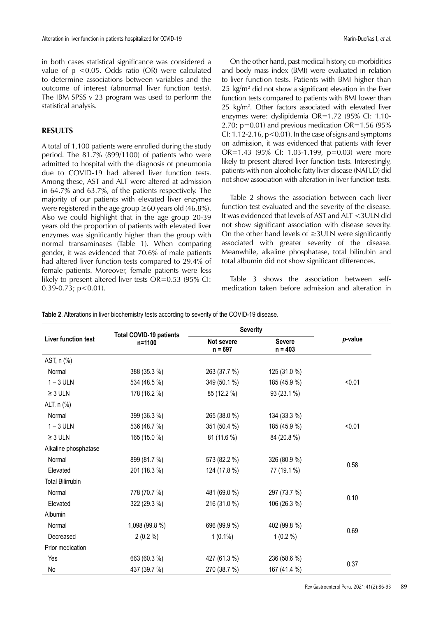in both cases statistical significance was considered a value of p <0.05. Odds ratio (OR) were calculated to determine associations between variables and the outcome of interest (abnormal liver function tests). The IBM SPSS v 23 program was used to perform the statistical analysis.

# **RESULTS**

A total of 1,100 patients were enrolled during the study period. The 81.7% (899/1100) of patients who were admitted to hospital with the diagnosis of pneumonia due to COVID-19 had altered liver function tests. Among these, AST and ALT were altered at admission in 64.7% and 63.7%, of the patients respectively. The majority of our patients with elevated liver enzymes were registered in the age group  $\geq 60$  years old (46.8%). Also we could highlight that in the age group 20-39 years old the proportion of patients with elevated liver enzymes was significantly higher than the group with normal transaminases (Table 1). When comparing gender, it was evidenced that 70.6% of male patients had altered liver function tests compared to 29.4% of female patients. Moreover, female patients were less likely to present altered liver tests OR=0.53 (95% CI:  $0.39 - 0.73$ ;  $p < 0.01$ ).

On the other hand, past medical history, co-morbidities and body mass index (BMI) were evaluated in relation to liver function tests. Patients with BMI higher than 25  $\text{kg/m}^2$  did not show a significant elevation in the liver function tests compared to patients with BMI lower than 25 kg/m2 . Other factors associated with elevated liver enzymes were: dyslipidemia OR=1.72 (95% CI: 1.10- 2.70;  $p=0.01$ ) and previous medication OR=1.56 (95%) CI:  $1.12 - 2.16$ ,  $p < 0.01$ ). In the case of signs and symptoms on admission, it was evidenced that patients with fever OR=1.43 (95% CI: 1.03-1.199, p=0.03) were more likely to present altered liver function tests. Interestingly, patients with non-alcoholic fatty liver disease (NAFLD) did not show association with alteration in liver function tests.

Table 2 shows the association between each liver function test evaluated and the severity of the disease. It was evidenced that levels of AST and ALT <3ULN did not show significant association with disease severity. On the other hand levels of ≥3ULN were significantly associated with greater severity of the disease. Meanwhile, alkaline phosphatase, total bilirubin and total albumin did not show significant differences.

Table 3 shows the association between selfmedication taken before admission and alteration in

|                          |                                          | <b>Severity</b>         |                            |         |  |
|--------------------------|------------------------------------------|-------------------------|----------------------------|---------|--|
| Liver function test      | <b>Total COVID-19 patients</b><br>n=1100 | Not severe<br>$n = 697$ | <b>Severe</b><br>$n = 403$ | p-value |  |
| AST, n (%)               |                                          |                         |                            |         |  |
| Normal                   | 388 (35.3 %)                             | 263 (37.7 %)            | 125 (31.0 %)               |         |  |
| $1 - 3$ ULN              | 534 (48.5 %)                             | 349 (50.1 %)            | 185 (45.9 %)               | < 0.01  |  |
| $\geq 3$ ULN             | 178 (16.2 %)                             | 85 (12.2 %)             | 93 (23.1 %)                |         |  |
| ALT, n (%)               |                                          |                         |                            |         |  |
| Normal                   | 399 (36.3 %)                             | 265 (38.0 %)            | 134 (33.3 %)               |         |  |
| $1 - 3$ ULN              | 536 (48.7 %)                             | 351 (50.4 %)            | 185 (45.9 %)               | < 0.01  |  |
| $\geq 3$ ULN             | 165 (15.0 %)                             | 81 (11.6 %)             | 84 (20.8 %)                |         |  |
| Alkaline phosphatase     |                                          |                         |                            |         |  |
| Normal                   | 899 (81.7 %)                             | 573 (82.2 %)            | 326 (80.9 %)               |         |  |
| Elevated                 | 201 (18.3 %)                             | 124 (17.8 %)            | 77 (19.1 %)                | 0.58    |  |
| <b>Total Bilirrubin</b>  |                                          |                         |                            |         |  |
| Normal                   | 778 (70.7 %)                             | 481 (69.0 %)            | 297 (73.7 %)               |         |  |
| Elevated                 | 322 (29.3 %)                             | 216 (31.0 %)            | 106 (26.3 %)               | 0.10    |  |
| Albumin                  |                                          |                         |                            |         |  |
| Normal<br>1,098 (99.8 %) |                                          | 696 (99.9 %)            | 402 (99.8 %)               |         |  |
| Decreased                | $2(0.2\%)$                               | $1(0.1\%)$              | $1(0.2\%)$                 | 0.69    |  |
| Prior medication         |                                          |                         |                            |         |  |
| Yes                      | 663 (60.3 %)                             | 427 (61.3 %)            | 236 (58.6 %)               |         |  |
| No                       | 437 (39.7 %)                             | 270 (38.7 %)            | 167 (41.4 %)               | 0.37    |  |

**Table 2**. Alterations in liver biochemistry tests according to severity of the COVID-19 disease.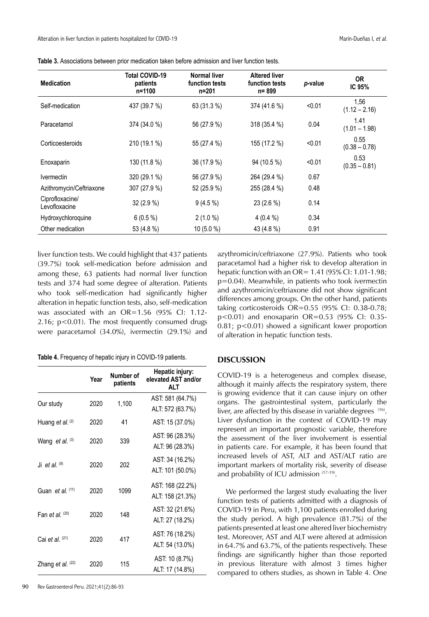| <b>Medication</b>                | Total COVID-19<br>patients<br>n=1100 | <b>Normal liver</b><br>function tests<br>n=201 | <b>Altered liver</b><br>function tests<br>n= 899 | p-value | <b>OR</b><br>IC <sub>95%</sub> |
|----------------------------------|--------------------------------------|------------------------------------------------|--------------------------------------------------|---------|--------------------------------|
| Self-medication                  | 437 (39.7 %)                         | 63 (31.3 %)                                    | 374 (41.6 %)                                     | < 0.01  | 1,56<br>$(1.12 - 2.16)$        |
| Paracetamol                      | 374 (34.0 %)                         | 56 (27.9 %)                                    | 318 (35.4 %)                                     | 0.04    | 1.41<br>$(1.01 - 1.98)$        |
| Corticoesteroids                 | 210 (19.1 %)                         | 55 (27.4 %)                                    | 155 (17.2 %)                                     | < 0.01  | 0.55<br>$(0.38 - 0.78)$        |
| Enoxaparin                       | 130 (11.8 %)                         | 36 (17.9 %)                                    | 94 (10.5 %)                                      | < 0.01  | 0.53<br>$(0.35 - 0.81)$        |
| <i><u><b>Ivermectin</b></u></i>  | 320 (29.1 %)                         | 56 (27.9 %)                                    | 264 (29.4 %)                                     | 0.67    |                                |
| Azithromycin/Ceftriaxone         | 307 (27.9 %)                         | 52 (25.9 %)                                    | 255 (28.4 %)                                     | 0.48    |                                |
| Ciprofloxacine/<br>Levofloxacine | 32 (2.9 %)                           | $9(4.5\%)$                                     | 23 (2.6 %)                                       | 0.14    |                                |
| Hydroxychloroquine               | $6(0.5\%)$                           | $2(1.0\%)$                                     | 4(0.4%                                           | 0.34    |                                |
| Other medication                 | 53 (4.8 %)                           | $10(5.0\%)$                                    | 43 (4.8 %)                                       | 0.91    |                                |

**Table 3.** Associations between prior medication taken before admission and liver function tests.

liver function tests. We could highlight that 437 patients (39.7%) took self-medication before admission and among these, 63 patients had normal liver function tests and 374 had some degree of alteration. Patients who took self-medication had significantly higher alteration in hepatic function tests, also, self-medication was associated with an OR=1.56 (95% CI: 1.12- 2.16; p<0.01). The most frequently consumed drugs were paracetamol (34.0%), ivermectin (29.1%) and

|  |  | Table 4. Frequency of hepatic injury in COVID-19 patients. |
|--|--|------------------------------------------------------------|
|--|--|------------------------------------------------------------|

|                         | Year | Number of<br>patients | Hepatic injury:<br>elevated AST and/or<br><b>ALT</b> |
|-------------------------|------|-----------------------|------------------------------------------------------|
| Our study               | 2020 | 1,100                 | AST: 581 (64.7%)                                     |
|                         |      |                       | ALT: 572 (63.7%)                                     |
| Huang et al. $(2)$      | 2020 | 41                    | AST: 15 (37.0%)                                      |
|                         |      |                       | AST: 96 (28.3%)                                      |
| Wang et al. (3)         | 2020 | 339                   | ALT: 96 (28.3%)                                      |
| Ji et al. $(8)$         | 2020 | 202                   | AST: 34 (16.2%)                                      |
|                         |      |                       | ALT: 101 (50.0%)                                     |
|                         |      |                       | AST: 168 (22.2%)                                     |
| Guan <i>et al.</i> (11) | 2020 | 1099                  | ALT: 158 (21.3%)                                     |
| Fan et al. $(20)$       | 2020 | 148                   | AST: 32 (21.6%)                                      |
|                         |      |                       | ALT: 27 (18.2%)                                      |
|                         |      | 417                   | AST: 76 (18.2%)                                      |
| Cai et al. $(21)$       | 2020 |                       | ALT: 54 (13.0%)                                      |
|                         |      |                       | AST: 10 (8.7%)                                       |
| Zhang et al. (22)       | 2020 | 115                   | ALT: 17 (14.8%)                                      |

azythromicin/ceftriaxone (27.9%). Patients who took paracetamol had a higher risk to develop alteration in hepatic function with an OR= 1.41 (95% CI: 1.01-1.98; p=0.04). Meanwhile, in patients who took ivermectin and azythromicin/ceftriaxone did not show significant differences among groups. On the other hand, patients taking corticosteroids OR=0.55 (95% CI: 0.38-0.78; p<0.01) and enoxaparin OR=0.53 (95% CI: 0.35- 0.81; p<0.01) showed a significant lower proportion of alteration in hepatic function tests.

# **DISCUSSION**

COVID-19 is a heterogeneus and complex disease, although it mainly affects the respiratory system, there is growing evidence that it can cause injury on other organs. The gastrointestinal system, particularly the liver, are affected by this disease in variable degrees (16). Liver dysfunction in the context of COVID-19 may represent an important prognostic variable, therefore the assessment of the liver involvement is essential in patients care. For example, it has been found that increased levels of AST, ALT and AST/ALT ratio are important markers of mortality risk, severity of disease and probability of ICU admission (17-19).

We performed the largest study evaluating the liver function tests of patients admitted with a diagnosis of COVID-19 in Peru, with 1,100 patients enrolled during the study period. A high prevalence (81.7%) of the patients presented at least one altered liver biochemistry test. Moreover, AST and ALT were altered at admission in 64.7% and 63.7%, of the patients respectively. These findings are significantly higher than those reported in previous literature with almost 3 times higher compared to others studies, as shown in Table 4. One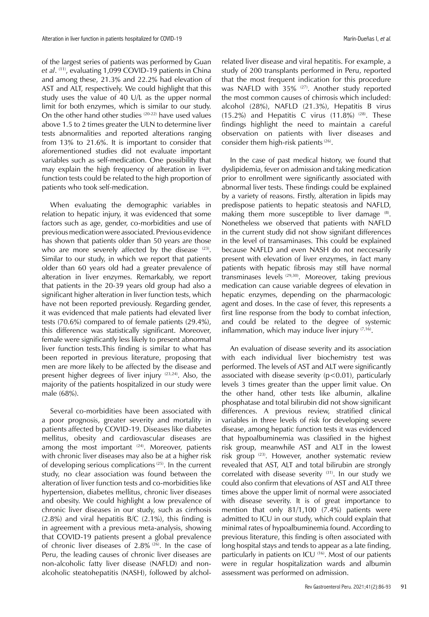of the largest series of patients was performed by Guan *et al*. (11), evaluating 1,099 COVID-19 patients in China and among these, 21.3% and 22.2% had elevation of AST and ALT, respectively. We could highlight that this study uses the value of 40 U/L as the upper normal limit for both enzymes, which is similar to our study. On the other hand other studies (20-22) have used values above 1.5 to 2 times greater the ULN to determine liver tests abnormalities and reported alterations ranging from 13% to 21.6%. It is important to consider that aforementioned studies did not evaluate important variables such as self-medication. One possibility that may explain the high frequency of alteration in liver function tests could be related to the high proportion of patients who took self-medication.

When evaluating the demographic variables in relation to hepatic injury, it was evidenced that some factors such as age, gender, co-morbidities and use of previous medication were associated. Previous evidence has shown that patients older than 50 years are those who are more severely affected by the disease  $(23)$ . Similar to our study, in which we report that patients older than 60 years old had a greater prevalence of alteration in liver enzymes. Remarkably, we report that patients in the 20-39 years old group had also a significant higher alteration in liver function tests, which have not been reported previously. Regarding gender, it was evidenced that male patients had elevated liver tests (70.6%) compared to of female patients (29.4%), this difference was statistically significant. Moreover, female were significantly less likely to present abnormal liver function tests.This finding is similar to what has been reported in previous literature, proposing that men are more likely to be affected by the disease and present higher degrees of liver injury (23,24). Also, the majority of the patients hospitalized in our study were male (68%).

Several co-morbidities have been associated with a poor prognosis, greater severity and mortality in patients affected by COVID-19. Diseases like diabetes mellitus, obesity and cardiovascular diseases are among the most important  $(24)$ . Moreover, patients with chronic liver diseases may also be at a higher risk of developing serious complications (25). In the current study, no clear association was found between the alteration of liver function tests and co-morbidities like hypertension, diabetes mellitus, chronic liver diseases and obesity. We could highlight a low prevalence of chronic liver diseases in our study, such as cirrhosis (2.8%) and viral hepatitis B/C (2.1%), this finding is in agreement with a previous meta-analysis, showing that COVID-19 patients present a global prevalence of chronic liver diseases of 2.8% (26). In the case of Peru, the leading causes of chronic liver diseases are non-alcoholic fatty liver disease (NAFLD) and nonalcoholic steatohepatitis (NASH), followed by alcholrelated liver disease and viral hepatitis. For example, a study of 200 transplants performed in Peru, reported that the most frequent indication for this procedure was NAFLD with 35% (27). Another study reported the most common causes of chirrosis which included: alcohol (28%), NAFLD (21.3%), Hepatitis B virus (15.2%) and Hepatitis C virus (11.8%)  $(28)$ . These findings highlight the need to maintain a careful observation on patients with liver diseases and consider them high-risk patients (26).

In the case of past medical history, we found that dyslipidemia, fever on admission and taking medication prior to enrollment were significantly associated with abnormal liver tests. These findings could be explained by a variety of reasons. Firstly, alteration in lipids may predispose patients to hepatic steatosis and NAFLD, making them more susceptible to liver damage (8). Nonetheless we observed that patients with NAFLD in the current study did not show signifant differences in the level of transaminases. This could be explained because NAFLD and even NASH do not neccesarily present with elevation of liver enzymes, in fact many patients with hepatic fibrosis may still have normal transminases levels<sup> (29,30)</sup>. Moreover, taking previous medication can cause variable degrees of elevation in hepatic enzymes, depending on the pharmacologic agent and doses. In the case of fever, this represents a first line response from the body to combat infection, and could be related to the degree of systemic inflammation, which may induce liver injury  $(7,16)$ .

An evaluation of disease severity and its association with each individual liver biochemistry test was performed. The levels of AST and ALT were significantly associated with disease severity  $(p<0.01)$ , particularly levels 3 times greater than the upper limit value. On the other hand, other tests like albumin, alkaline phosphatase and total bilirubin did not show significant differences. A previous review, stratified clinical variables in three levels of risk for developing severe disease, among hepatic function tests it was evidenced that hypoalbuminemia was classified in the highest risk group, meanwhile AST and ALT in the lowest risk group (23). However, another systematic review revealed that AST, ALT and total bilirubin are strongly correlated with disease severity <sup>(31)</sup>. In our study we could also confirm that elevations of AST and ALT three times above the upper limit of normal were associated with disease severity. It is of great importance to mention that only 81/1,100 (7.4%) patients were admitted to ICU in our study, which could explain that minimal rates of hypoalbuminemia found. According to previous literature, this finding is often associated with long hospital stays and tends to appear as a late finding, particularly in patients on ICU<sup>(16)</sup>. Most of our patients were in regular hospitalization wards and albumin assessment was performed on admission.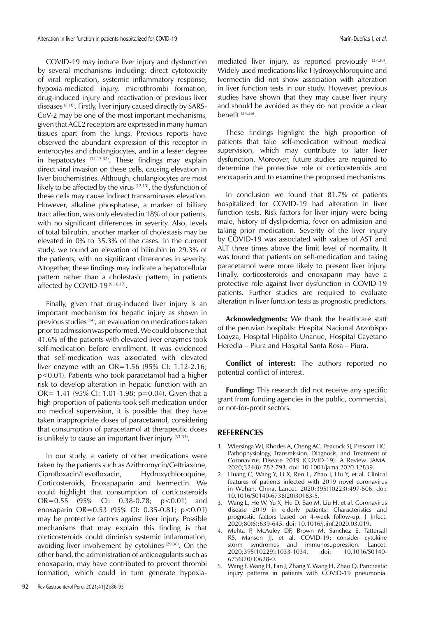COVID-19 may induce liver injury and dysfunction by several mechanisms including: direct cytotoxicity of viral replication, systemic inflammatory response, hypoxia-mediated injury, microthrombi formation, drug-induced injury and reactivation of previous liver diseases  $(7,10)$ . Firstly, liver injury caused directly by SARS-CoV-2 may be one of the most important mechanisms, given that ACE2 receptors are expressed in many human tissues apart from the lungs. Previous reports have observed the abundant expression of this receptor in enterocytes and cholangiocytes, and in a lesser degree in hepatocytes (12,13,32). These findings may explain direct viral invasion on these cells, causing elevation in liver biochemistries. Although, cholangiocytes are most likely to be affected by the virus  $(12,13)$ , the dysfunction of these cells may cause indirect transaminases elevation. However, alkaline phosphatase, a marker of billiary tract affection, was only elevated in 18% of our patients, with no significant differences in severity. Also, levels of total bilirubin, another marker of cholestasis may be elevated in 0% to 35.3% of the cases. In the current study, we found an elevation of bilirubin in 29.3% of the patients, with no significant differences in severity. Altogether, these findings may indicate a hepatocellular pattern rather than a cholestasic pattern, in patients affected by COVID-19 $(9,10,17)$ .

Finally, given that drug-induced liver injury is an important mechanism for hepatic injury as shown in previous studies (14), an evaluation on medications taken prior to admission was performed. We could observe that 41.6% of the patients with elevated liver enzymes took self-medication before enrollment. It was evidenced that self-medication was associated with elevated liver enzyme with an OR=1.56 (95% CI: 1.12-2.16; p<0.01). Patients who took paracetamol had a higher risk to develop alteration in hepatic function with an OR= 1.41 (95% CI: 1.01-1.98; p=0.04). Given that a high proportion of patients took self-medication under no medical supervision, it is possible that they have taken inappropriate doses of paracetamol, considering that consumption of paracetamol at therapeutic doses is unlikely to cause an important liver injury  $(33-35)$ .

In our study, a variety of other medications were taken by the patients such as Azithromycin/Ceftriaxone, Ciprofloxacin/Levofloxacin, Hydroxychloroquine, Corticosteroids, Enoxapaparin and Ivermectin. We could highlight that consumption of corticosteroids OR=0.55 (95% CI: 0.38-0.78; p<0.01) and enoxaparin OR=0.53 (95% CI: 0.35-0.81; p<0.01) may be protective factors against liver injury. Possible mechanisms that may explain this finding is that corticosteroids could diminish systemic inflammation, avoiding liver involvement by cytokines<sup>(29,36)</sup>. On the other hand, the administration of anticoagulants such as enoxaparin, may have contributed to prevent thrombi formation, which could in turn generate hypoxiamediated liver injury, as reported previously (37,38). Widely used medications like Hydroxychloroquine and Ivermectin did not show association with alteration in liver function tests in our study. However, previous studies have shown that they may cause liver injury and should be avoided as they do not provide a clear benefit (34,36).

These findings highlight the high proportion of patients that take self-medication without medical supervision, which may contribute to later liver dysfunction. Moreover, future studies are required to determine the protective role of corticosteroids and enoxaparin and to examine the proposed mechanisms.

In conclusion we found that 81.7% of patients hospitalized for COVID-19 had alteration in liver function tests. Risk factors for liver injury were being male, history of dyslipidemia, fever on admission and taking prior medication. Severity of the liver injury by COVID-19 was associated with values of AST and ALT three times above the limit level of normality. It was found that patients on self-medication and taking paracetamol were more likely to present liver injury. Finally, corticosteroids and enoxaparin may have a protective role against liver dysfunction in COVID-19 patients. Further studies are required to evaluate alteration in liver function tests as prognostic predictors.

**Acknowledgments:** We thank the healthcare staff of the peruvian hospitals: Hospital Nacional Arzobispo Loayza, Hospital Hipólito Unanue, Hospital Cayetano Heredia – Piura and Hospital Santa Rosa – Piura.

**Conflict of interest:** The authors reported no potential conflict of interest.

**Funding:** This research did not receive any specific grant from funding agencies in the public, commercial, or not-for-profit sectors.

# **REFERENCES**

- 1. Wiersinga WJ, Rhodes A, Cheng AC, Peacock SJ, Prescott HC. Pathophysiology, Transmission, Diagnosis, and Treatment of Coronavirus Disease 2019 (COVID-19): A Review. JAMA. 2020;324(8):782-793. doi: 10.1001/jama.2020.12839.
- 2. Huang C, Wang Y, Li X, Ren L, Zhao J, Hu Y, et al. Clinical features of patients infected with 2019 novel coronavirus in Wuhan. China. Lancet. 2020;395(10223):497-506. doi: 10.1016/S0140-6736(20)30183-5.
- 3. Wang L, He W, Yu X, Hu D, Bao M, Liu H, et al. Coronavirus disease 2019 in elderly patients: Characteristics and prognostic factors based on 4-week follow-up. J Infect. 2020;80(6):639-645. doi: 10.1016/j.jinf.2020.03.019.
- 4. Mehta P, McAuley DF, Brown M, Sanchez E, Tattersall RS, Manson JJ, et al. COVID-19: consider cytokine storm syndromes and immunosuppression. Lancet. 2020;395(10229):1033-1034. doi: 6736(20)30628-0.
- 5. Wang F, Wang H, Fan J, Zhang Y, Wang H, Zhao Q. Pancreatic injury patterns in patients with COVID-19 pneumonia.